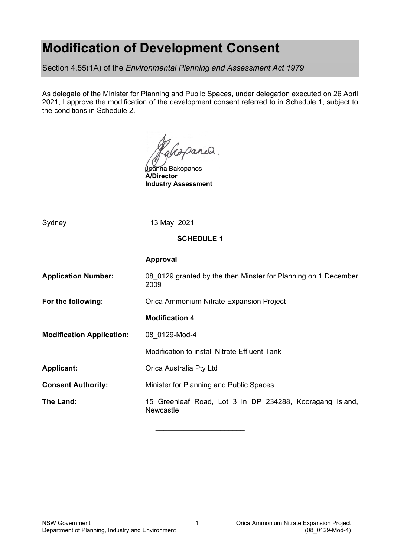# **Modification of Development Consent**

Section 4.55(1A) of the *Environmental Planning and Assessment Act 1979*

As delegate of the Minister for Planning and Public Spaces, under delegation executed on 26 April 2021, I approve the modification of the development consent referred to in Schedule 1, subject to the conditions in Schedule 2.

alcoparis.

Joanna Bakopanos **A/Director Industry Assessment**

| Sydney                           | 13 May 2021                                                            |  |  |  |  |
|----------------------------------|------------------------------------------------------------------------|--|--|--|--|
| <b>SCHEDULE 1</b>                |                                                                        |  |  |  |  |
|                                  | <b>Approval</b>                                                        |  |  |  |  |
| <b>Application Number:</b>       | 08 0129 granted by the then Minster for Planning on 1 December<br>2009 |  |  |  |  |
| For the following:               | Orica Ammonium Nitrate Expansion Project                               |  |  |  |  |
|                                  | <b>Modification 4</b>                                                  |  |  |  |  |
| <b>Modification Application:</b> | 08 0129-Mod-4                                                          |  |  |  |  |
|                                  | Modification to install Nitrate Effluent Tank                          |  |  |  |  |
| <b>Applicant:</b>                | Orica Australia Pty Ltd                                                |  |  |  |  |
| <b>Consent Authority:</b>        | Minister for Planning and Public Spaces                                |  |  |  |  |
| The Land:                        | 15 Greenleaf Road, Lot 3 in DP 234288, Kooragang Island,<br>Newcastle  |  |  |  |  |

\_\_\_\_\_\_\_\_\_\_\_\_\_\_\_\_\_\_\_\_\_\_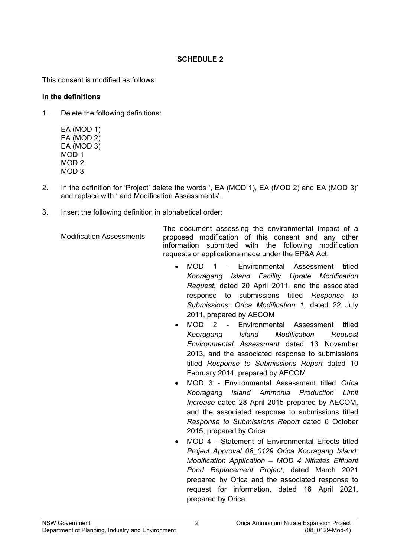### **SCHEDULE 2**

This consent is modified as follows:

#### **In the definitions**

1. Delete the following definitions:

EA (MOD 1) EA (MOD 2) EA (MOD 3) MOD 1 MOD 2 MOD 3

- 2. In the definition for 'Project' delete the words ', EA (MOD 1), EA (MOD 2) and EA (MOD 3)' and replace with ' and Modification Assessments'.
- 3. Insert the following definition in alphabetical order:

Modification Assessments The document assessing the environmental impact of a proposed modification of this consent and any other information submitted with the following modification requests or applications made under the EP&A Act:

- MOD 1 Environmental Assessment titled *Kooragang Island Facility Uprate Modification Request,* dated 20 April 2011, and the associated response to submissions titled *Response to Submissions: Orica Modification 1*, dated 22 July 2011, prepared by AECOM
- MOD 2 Environmental Assessment titled *Kooragang lsland Modification Request Environmental Assessment* dated 13 November 2013, and the associated response to submissions titled *Response to Submissions Report* dated 10 February 2014, prepared by AECOM
- MOD 3 Environmental Assessment titled *Orica Kooragang lsland Ammonia Production Limit Increase* dated 28 April 2015 prepared by AECOM, and the associated response to submissions titled *Response to Submissions Report* dated 6 October 2015, prepared by Orica
- MOD 4 Statement of Environmental Effects titled *Project Approval 08\_0129 Orica Kooragang Island: Modification Application – MOD 4 Nitrates Effluent Pond Replacement Project*, dated March 2021 prepared by Orica and the associated response to request for information, dated 16 April 2021, prepared by Orica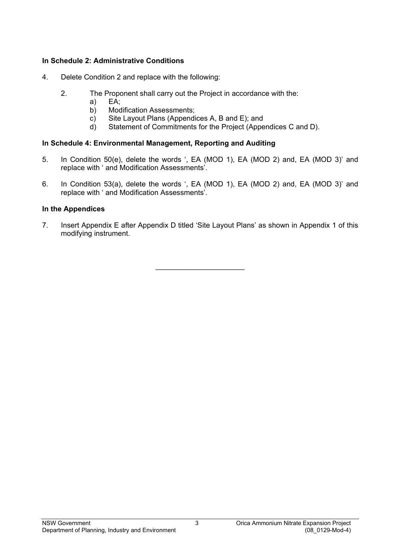#### **In Schedule 2: Administrative Conditions**

- 4. Delete Condition 2 and replace with the following:
	- 2. The Proponent shall carry out the Project in accordance with the:<br>a) EA:
		- $EA$ :
		- b) Modification Assessments;
		- c) Site Layout Plans (Appendices A, B and E); and
		- d) Statement of Commitments for the Project (Appendices C and D).

#### **In Schedule 4: Environmental Management, Reporting and Auditing**

- 5. In Condition 50(e), delete the words ', EA (MOD 1), EA (MOD 2) and, EA (MOD 3)' and replace with ' and Modification Assessments'.
- 6. In Condition 53(a), delete the words ', EA (MOD 1), EA (MOD 2) and, EA (MOD 3)' and replace with ' and Modification Assessments'.

#### **In the Appendices**

7. Insert Appendix E after Appendix D titled 'Site Layout Plans' as shown in Appendix 1 of this modifying instrument.

\_\_\_\_\_\_\_\_\_\_\_\_\_\_\_\_\_\_\_\_\_\_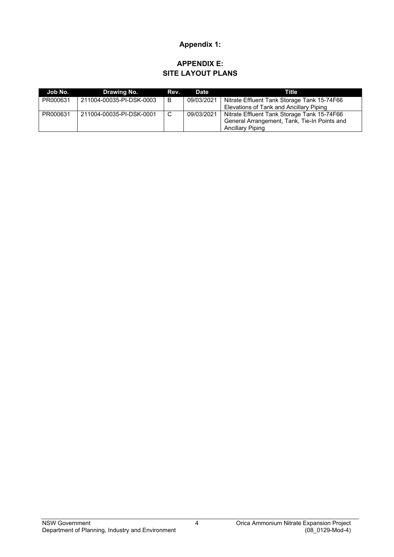## **Appendix 1:**

### **APPENDIX E: SITE LAYOUT PLANS**

| Job No.  | Drawing No.              | Rev. | Date       | Title                                        |
|----------|--------------------------|------|------------|----------------------------------------------|
| PR000631 | 211004-00035-PI-DSK-0003 | B    | 09/03/2021 | Nitrate Effluent Tank Storage Tank 15-74F66  |
|          |                          |      |            | Elevations of Tank and Ancillary Piping      |
| PR000631 | 211004-00035-PI-DSK-0001 | C    | 09/03/2021 | Nitrate Effluent Tank Storage Tank 15-74F66  |
|          |                          |      |            | General Arrangement, Tank, Tie-In Points and |
|          |                          |      |            | Ancillary Piping                             |